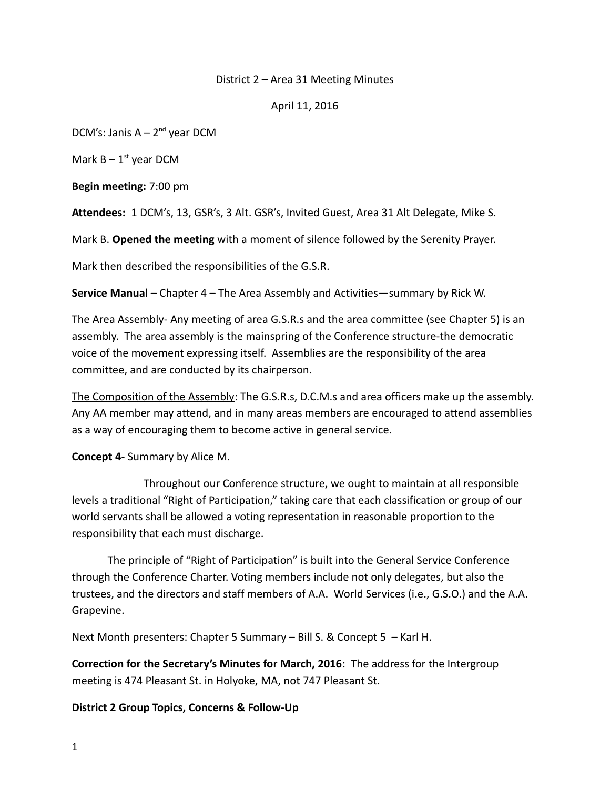# District 2 – Area 31 Meeting Minutes

### April 11, 2016

DCM's: Janis  $A - 2^{nd}$  year DCM

Mark  $B - 1$ <sup>st</sup> year DCM

**Begin meeting:** 7:00 pm

**Attendees:** 1 DCM's, 13, GSR's, 3 Alt. GSR's, Invited Guest, Area 31 Alt Delegate, Mike S.

Mark B. **Opened the meeting** with a moment of silence followed by the Serenity Prayer.

Mark then described the responsibilities of the G.S.R.

**Service Manual** – Chapter 4 – The Area Assembly and Activities—summary by Rick W.

The Area Assembly- Any meeting of area G.S.R.s and the area committee (see Chapter 5) is an assembly. The area assembly is the mainspring of the Conference structure-the democratic voice of the movement expressing itself. Assemblies are the responsibility of the area committee, and are conducted by its chairperson.

The Composition of the Assembly: The G.S.R.s, D.C.M.s and area officers make up the assembly. Any AA member may attend, and in many areas members are encouraged to attend assemblies as a way of encouraging them to become active in general service.

**Concept 4**- Summary by Alice M.

Throughout our Conference structure, we ought to maintain at all responsible levels a traditional "Right of Participation," taking care that each classification or group of our world servants shall be allowed a voting representation in reasonable proportion to the responsibility that each must discharge.

The principle of "Right of Participation" is built into the General Service Conference through the Conference Charter. Voting members include not only delegates, but also the trustees, and the directors and staff members of A.A. World Services (i.e., G.S.O.) and the A.A. Grapevine.

Next Month presenters: Chapter 5 Summary – Bill S. & Concept 5 – Karl H.

**Correction for the Secretary's Minutes for March, 2016**: The address for the Intergroup meeting is 474 Pleasant St. in Holyoke, MA, not 747 Pleasant St.

**District 2 Group Topics, Concerns & Follow-Up**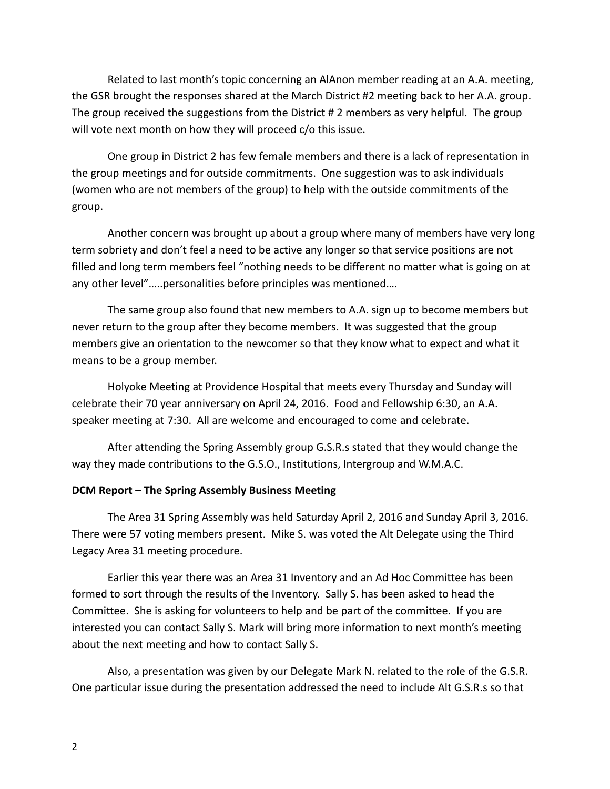Related to last month's topic concerning an AlAnon member reading at an A.A. meeting, the GSR brought the responses shared at the March District #2 meeting back to her A.A. group. The group received the suggestions from the District # 2 members as very helpful. The group will vote next month on how they will proceed c/o this issue.

One group in District 2 has few female members and there is a lack of representation in the group meetings and for outside commitments. One suggestion was to ask individuals (women who are not members of the group) to help with the outside commitments of the group.

Another concern was brought up about a group where many of members have very long term sobriety and don't feel a need to be active any longer so that service positions are not filled and long term members feel "nothing needs to be different no matter what is going on at any other level"…..personalities before principles was mentioned….

The same group also found that new members to A.A. sign up to become members but never return to the group after they become members. It was suggested that the group members give an orientation to the newcomer so that they know what to expect and what it means to be a group member.

Holyoke Meeting at Providence Hospital that meets every Thursday and Sunday will celebrate their 70 year anniversary on April 24, 2016. Food and Fellowship 6:30, an A.A. speaker meeting at 7:30. All are welcome and encouraged to come and celebrate.

After attending the Spring Assembly group G.S.R.s stated that they would change the way they made contributions to the G.S.O., Institutions, Intergroup and W.M.A.C.

### **DCM Report – The Spring Assembly Business Meeting**

The Area 31 Spring Assembly was held Saturday April 2, 2016 and Sunday April 3, 2016. There were 57 voting members present. Mike S. was voted the Alt Delegate using the Third Legacy Area 31 meeting procedure.

Earlier this year there was an Area 31 Inventory and an Ad Hoc Committee has been formed to sort through the results of the Inventory. Sally S. has been asked to head the Committee. She is asking for volunteers to help and be part of the committee. If you are interested you can contact Sally S. Mark will bring more information to next month's meeting about the next meeting and how to contact Sally S.

Also, a presentation was given by our Delegate Mark N. related to the role of the G.S.R. One particular issue during the presentation addressed the need to include Alt G.S.R.s so that